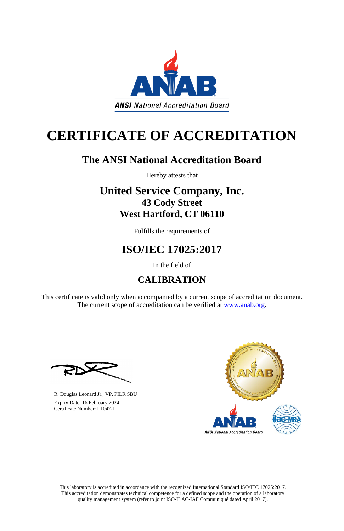This laboratory is accredited in accordance with the recognized International Standard ISO/IEC 17025:2017. This accreditation demonstrates technical competence for a defined scope and the operation of a laboratory quality management system (refer to joint ISO-ILAC-IAF Communiqué dated April 2017).

This certificate is valid only when accompanied by a current scope of accreditation document. The current scope of accreditation can be verified at [www.anab.org.](http://www.anab.org/)







# **CERTIFICATE OF ACCREDITATION**

# **The ANSI National Accreditation Board**

Hereby attests that

# **United Service Company, Inc. 43 Cody Street West Hartford, CT 06110**

Fulfills the requirements of

# **ISO/IEC 17025:2017**

In the field of

# **CALIBRATION**

**\_\_\_\_\_\_\_\_\_\_\_\_\_\_\_\_\_\_\_\_\_\_\_\_\_\_\_\_\_\_** R. Douglas Leonard Jr., VP, PILR SBU

 Expiry Date: 16 February 2024 Certificate Number: L1047-1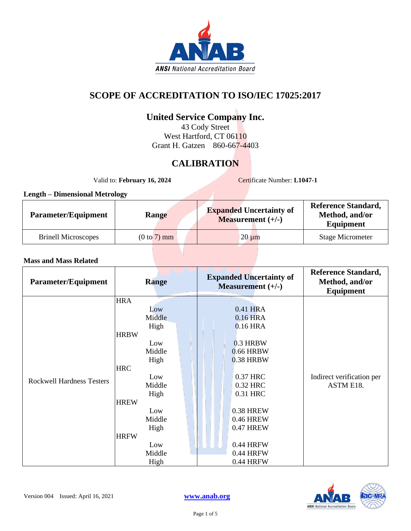

### **SCOPE OF ACCREDITATION TO ISO/IEC 17025:2017**

# **United Service Company Inc.**

43 Cody Street West Hartford, CT 06110 Grant H. Gatzen 860-667-4403

# **CALIBRATION**

Valid to: **February 16, 2024** Certificate Number: **L1047-1** 

#### **Length – Dimensional Metrology**

| <b>Parameter/Equipment</b> | Range         | <b>Expanded Uncertainty of</b><br><b>Measurement</b> $(+/-)$ | <b>Reference Standard,</b><br>Method, and/or<br>Equipment |
|----------------------------|---------------|--------------------------------------------------------------|-----------------------------------------------------------|
| <b>Brinell Microscopes</b> | $(0 to 7)$ mm | $20 \mu m$                                                   | <b>Stage Micrometer</b>                                   |

| <b>Parameter/Equipment</b>       | <b>Range</b> | <b>Expanded Uncertainty of</b><br>Measurement $(+/-)$ | <b>Reference Standard,</b><br>Method, and/or<br><b>Equipment</b> |
|----------------------------------|--------------|-------------------------------------------------------|------------------------------------------------------------------|
|                                  | <b>HRA</b>   |                                                       |                                                                  |
|                                  | Low          | 0.41 HRA                                              |                                                                  |
|                                  | Middle       | 0.16 HRA                                              |                                                                  |
|                                  | High         | 0.16 HRA                                              |                                                                  |
|                                  | <b>HRBW</b>  |                                                       |                                                                  |
|                                  | Low          | 0.3 HRBW                                              |                                                                  |
|                                  | Middle       | 0.66 HRBW                                             |                                                                  |
|                                  | High         | 0.38 HRBW                                             |                                                                  |
|                                  | <b>HRC</b>   |                                                       |                                                                  |
| <b>Rockwell Hardness Testers</b> | Low          | 0.37 HRC                                              | Indirect verification per                                        |
|                                  | Middle       | 0.32 HRC                                              | ASTM E18.                                                        |
|                                  | High         | 0.31 HRC                                              |                                                                  |
|                                  | <b>HREW</b>  |                                                       |                                                                  |
|                                  | Low          | 0.38 HREW                                             |                                                                  |
|                                  | Middle       | <b>0.46 HREW</b>                                      |                                                                  |
|                                  | High         | 0.47 HREW                                             |                                                                  |
|                                  | <b>HRFW</b>  |                                                       |                                                                  |
|                                  | Low          | 0.44 HRFW                                             |                                                                  |
|                                  | Middle       | 0.44 HRFW                                             |                                                                  |
|                                  | High         | 0.44 HRFW                                             |                                                                  |

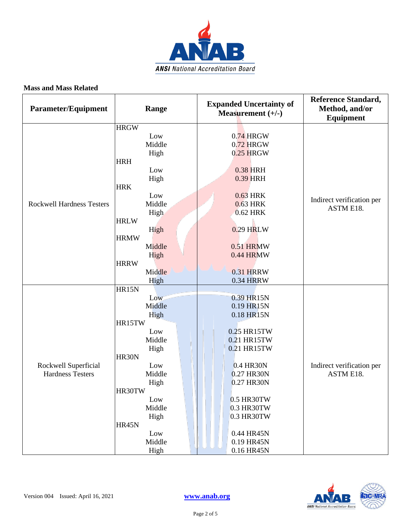

| Parameter/Equipment                             | Range                                   | <b>Expanded Uncertainty of</b><br>Measurement $(+/-)$ | <b>Reference Standard,</b><br>Method, and/or<br>Equipment |
|-------------------------------------------------|-----------------------------------------|-------------------------------------------------------|-----------------------------------------------------------|
| <b>Rockwell Hardness Testers</b>                | <b>HRGW</b><br>Low<br>Middle<br>High    | $0.74$ HRGW<br>$0.72$ HRGW<br>$0.25$ HRGW             |                                                           |
|                                                 | <b>HRH</b><br>Low<br>High<br><b>HRK</b> | 0.38 HRH<br>0.39 HRH                                  |                                                           |
|                                                 | Low<br>Middle<br>High<br><b>HRLW</b>    | 0.63 HRK<br>0.63 HRK<br>0.62 HRK                      | Indirect verification per<br>ASTM E18.                    |
|                                                 | High<br><b>HRMW</b>                     | 0.29 HRLW                                             |                                                           |
|                                                 | Middle<br>High<br><b>HRRW</b>           | 0.51 HRMW<br>0.44 HRMW                                |                                                           |
|                                                 | Middle<br>High<br>HR15N                 | <b>0.31 HRRW</b><br><b>0.34 HRRW</b>                  |                                                           |
| Rockwell Superficial<br><b>Hardness Testers</b> | Low<br>Middle<br>High                   | 0.39 HR15N<br>0.19 HR15N<br>0.18 HR15N                |                                                           |
|                                                 | HR15TW<br>Low<br>Middle<br>High         | 0.25 HR15TW<br>0.21 HR15TW<br>0.21 HR15TW             |                                                           |
|                                                 | HR30N<br>Low<br>Middle<br>High          | 0.4 HR30N<br>0.27 HR30N<br>0.27 HR30N                 | Indirect verification per<br>ASTM E18.                    |
|                                                 | HR30TW<br>Low<br>Middle<br>High         | 0.5 HR30TW<br>0.3 HR30TW<br>0.3 HR30TW                |                                                           |
|                                                 | HR45N<br>Low<br>Middle<br>High          | 0.44 HR45N<br>0.19 HR45N<br>0.16 HR45N                |                                                           |

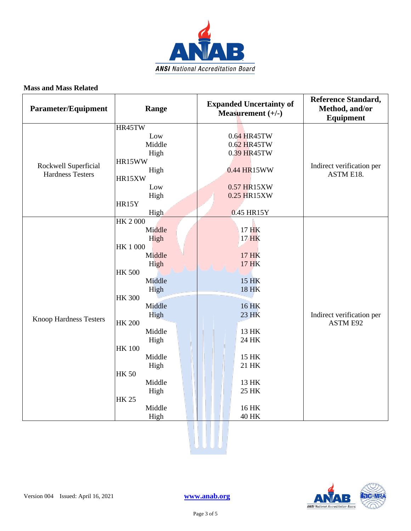

| <b>Parameter/Equipment</b>                      | Range                                                                                                                                                                                                                                                                                       | <b>Expanded Uncertainty of</b><br>Measurement $(+/-)$                                                                                                             | <b>Reference Standard,</b><br>Method, and/or<br>Equipment |
|-------------------------------------------------|---------------------------------------------------------------------------------------------------------------------------------------------------------------------------------------------------------------------------------------------------------------------------------------------|-------------------------------------------------------------------------------------------------------------------------------------------------------------------|-----------------------------------------------------------|
| Rockwell Superficial<br><b>Hardness Testers</b> | HR45TW<br>Low<br>Middle<br>High<br>HR15WW<br>High<br>HR15XW<br>Low<br>High<br>HR15Y                                                                                                                                                                                                         | 0.64 HR45TW<br>0.62 HR45TW<br>0.39 HR45TW<br>0.44 HR15WW<br>0.57 HR15XW<br>0.25 HR15XW                                                                            | Indirect verification per<br>ASTM E18.                    |
| Knoop Hardness Testers                          | High<br><b>HK 2000</b><br>Middle<br>High<br><b>HK1000</b><br>Middle<br>High<br><b>HK 500</b><br>Middle<br>High<br><b>HK 300</b><br>Middle<br>High<br><b>HK 200</b><br>Middle<br>High<br><b>HK 100</b><br>Middle<br>High<br><b>HK 50</b><br>Middle<br>High<br><b>HK 25</b><br>Middle<br>High | 0.45 HR15Y<br>17 HK<br>17 HK<br>17 HK<br>17 HK<br>15 HK<br>18 HK<br>16 HK<br>23 HK<br>13 HK<br>24 HK<br>15 HK<br>21 HK<br>13 HK<br>25 HK<br>16 HK<br><b>40 HK</b> | Indirect verification per<br><b>ASTM E92</b>              |

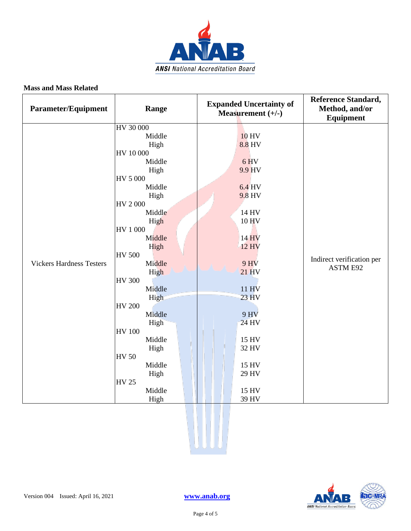

| <b>Parameter/Equipment</b>      | Range                   | <b>Expanded Uncertainty of</b><br>Measurement $(+/-)$ | <b>Reference Standard,</b><br>Method, and/or<br>Equipment |
|---------------------------------|-------------------------|-------------------------------------------------------|-----------------------------------------------------------|
|                                 | HV 30 000               |                                                       |                                                           |
|                                 | Middle                  | <b>10 HV</b>                                          |                                                           |
|                                 | High                    | 8.8 HV                                                |                                                           |
|                                 | HV 10 000               |                                                       |                                                           |
|                                 | Middle                  | 6 HV                                                  |                                                           |
|                                 | High                    | 9.9 HV                                                |                                                           |
|                                 | HV 5 000                |                                                       |                                                           |
|                                 | Middle                  | 6.4 HV                                                |                                                           |
|                                 | High                    | 9.8 HV                                                |                                                           |
|                                 | HV 2000                 |                                                       |                                                           |
|                                 | Middle                  | 14 HV                                                 |                                                           |
|                                 | High                    | 10 HV                                                 | Indirect verification per<br>ASTM E92                     |
|                                 | HV 1 000                |                                                       |                                                           |
|                                 | Middle                  | 14 HV                                                 |                                                           |
|                                 | High                    | <b>12 HV</b>                                          |                                                           |
| <b>Vickers Hardness Testers</b> | <b>HV 500</b><br>Middle | <b>9 HV</b>                                           |                                                           |
|                                 |                         | 21 HV                                                 |                                                           |
|                                 | High<br><b>HV 300</b>   |                                                       |                                                           |
|                                 | Middle                  | 11 HV                                                 |                                                           |
|                                 | High                    | $23$ HV                                               |                                                           |
|                                 | <b>HV 200</b>           |                                                       |                                                           |
|                                 | Middle                  | <b>9 HV</b>                                           |                                                           |
|                                 | High                    | 24 HV                                                 |                                                           |
|                                 | <b>HV 100</b>           |                                                       |                                                           |
|                                 | Middle                  | 15 HV                                                 |                                                           |
|                                 | High                    | 32 HV                                                 |                                                           |
|                                 | <b>HV 50</b>            |                                                       |                                                           |
|                                 | Middle                  | 15 HV                                                 |                                                           |
|                                 | High                    | 29 HV                                                 |                                                           |
|                                 | <b>HV 25</b>            |                                                       |                                                           |
|                                 | Middle                  | 15 HV                                                 |                                                           |
|                                 | High                    | 39 HV                                                 |                                                           |